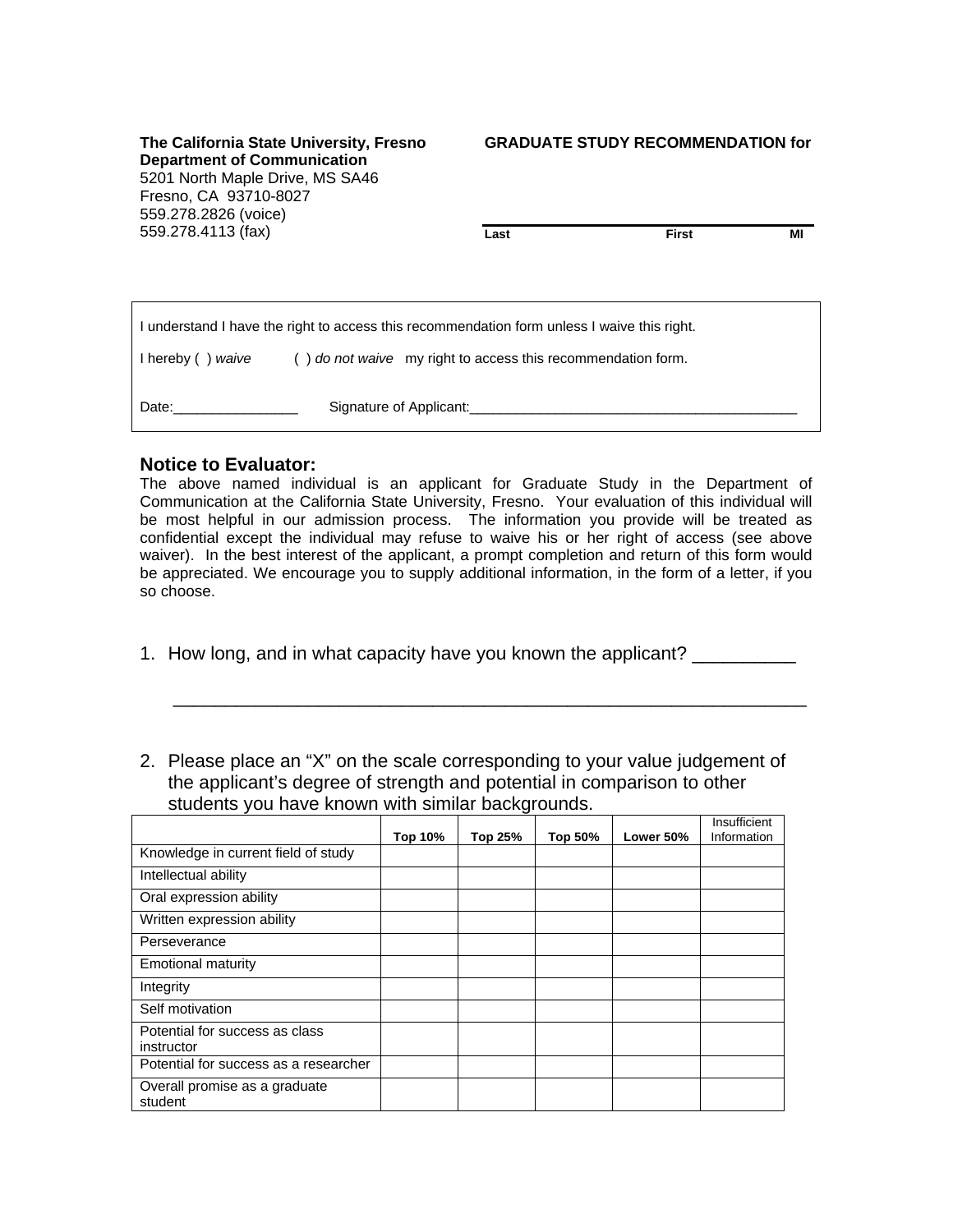**The California State University, Fresno Department of Communication** 5201 North Maple Drive, MS SA46 Fresno, CA 93710-8027 559.278.2826 (voice) 559.278.4113 (fax)

## **GRADUATE STUDY RECOMMENDATION for**

**Last** First MI

| I understand I have the right to access this recommendation form unless I waive this right. |                                                              |  |  |  |
|---------------------------------------------------------------------------------------------|--------------------------------------------------------------|--|--|--|
| I hereby () waive                                                                           | () do not waive my right to access this recommendation form. |  |  |  |
| Date:                                                                                       | Signature of Applicant:                                      |  |  |  |

## **Notice to Evaluator:**

The above named individual is an applicant for Graduate Study in the Department of Communication at the California State University, Fresno. Your evaluation of this individual will be most helpful in our admission process. The information you provide will be treated as confidential except the individual may refuse to waive his or her right of access (see above waiver). In the best interest of the applicant, a prompt completion and return of this form would be appreciated. We encourage you to supply additional information, in the form of a letter, if you so choose.

1. How long, and in what capacity have you known the applicant? \_\_\_\_\_\_\_\_\_\_

 $\overline{\phantom{a}}$  , and the contribution of the contribution of the contribution of the contribution of the contribution of the contribution of the contribution of the contribution of the contribution of the contribution of the

2. Please place an "X" on the scale corresponding to your value judgement of the applicant's degree of strength and potential in comparison to other students you have known with similar backgrounds.

|                                              | <b>Top 10%</b> | Top 25% | Top 50% | Lower 50% | Insufficient<br>Information |
|----------------------------------------------|----------------|---------|---------|-----------|-----------------------------|
| Knowledge in current field of study          |                |         |         |           |                             |
| Intellectual ability                         |                |         |         |           |                             |
| Oral expression ability                      |                |         |         |           |                             |
| Written expression ability                   |                |         |         |           |                             |
| Perseverance                                 |                |         |         |           |                             |
| Emotional maturity                           |                |         |         |           |                             |
| Integrity                                    |                |         |         |           |                             |
| Self motivation                              |                |         |         |           |                             |
| Potential for success as class<br>instructor |                |         |         |           |                             |
| Potential for success as a researcher        |                |         |         |           |                             |
| Overall promise as a graduate<br>student     |                |         |         |           |                             |